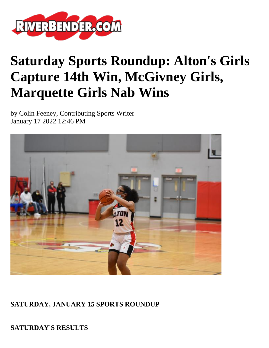

# **Saturday Sports Roundup: Alton's Girls Capture 14th Win, McGivney Girls, Marquette Girls Nab Wins**

by Colin Feeney, Contributing Sports Writer January 17 2022 12:46 PM



**SATURDAY, JANUARY 15 SPORTS ROUNDUP**

**SATURDAY'S RESULTS**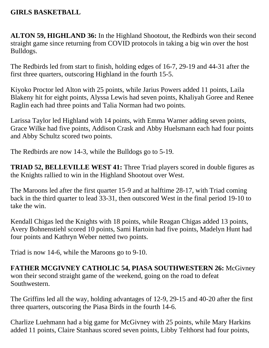#### **GIRLS BASKETBALL**

**ALTON 59, HIGHLAND 36:** In the Highland Shootout, the Redbirds won their second straight game since returning from COVID protocols in taking a big win over the host Bulldogs.

The Redbirds led from start to finish, holding edges of 16-7, 29-19 and 44-31 after the first three quarters, outscoring Highland in the fourth 15-5.

Kiyoko Proctor led Alton with 25 points, while Jarius Powers added 11 points, Laila Blakeny hit for eight points, Alyssa Lewis had seven points, Khaliyah Goree and Renee Raglin each had three points and Talia Norman had two points.

Larissa Taylor led Highland with 14 points, with Emma Warner adding seven points, Grace Wilke had five points, Addison Crask and Abby Huelsmann each had four points and Abby Schultz scored two points.

The Redbirds are now 14-3, while the Bulldogs go to 5-19.

**TRIAD 52, BELLEVILLE WEST 41:** Three Triad players scored in double figures as the Knights rallied to win in the Highland Shootout over West.

The Maroons led after the first quarter 15-9 and at halftime 28-17, with Triad coming back in the third quarter to lead 33-31, then outscored West in the final period 19-10 to take the win.

Kendall Chigas led the Knights with 18 points, while Reagan Chigas added 13 points, Avery Bohnenstiehl scored 10 points, Sami Hartoin had five points, Madelyn Hunt had four points and Kathryn Weber netted two points.

Triad is now 14-6, while the Maroons go to 9-10.

**FATHER MCGIVNEY CATHOLIC 54, PIASA SOUTHWESTERN 26:** McGivney won their second straight game of the weekend, going on the road to defeat Southwestern.

The Griffins led all the way, holding advantages of 12-9, 29-15 and 40-20 after the first three quarters, outscoring the Piasa Birds in the fourth 14-6.

Charlize Luehmann had a big game for McGivney with 25 points, while Mary Harkins added 11 points, Claire Stanhaus scored seven points, Libby Telthorst had four points,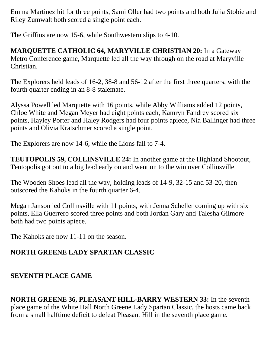Emma Martinez hit for three points, Sami Oller had two points and both Julia Stobie and Riley Zumwalt both scored a single point each.

The Griffins are now 15-6, while Southwestern slips to 4-10.

**MARQUETTE CATHOLIC 64, MARYVILLE CHRISTIAN 20:** In a Gateway Metro Conference game, Marquette led all the way through on the road at Maryville Christian.

The Explorers held leads of 16-2, 38-8 and 56-12 after the first three quarters, with the fourth quarter ending in an 8-8 stalemate.

Alyssa Powell led Marquette with 16 points, while Abby Williams added 12 points, Chloe White and Megan Meyer had eight points each, Kamryn Fandrey scored six points, Hayley Porter and Haley Rodgers had four points apiece, Nia Ballinger had three points and Olivia Kratschmer scored a single point.

The Explorers are now 14-6, while the Lions fall to 7-4.

**TEUTOPOLIS 59, COLLINSVILLE 24:** In another game at the Highland Shootout, Teutopolis got out to a big lead early on and went on to the win over Collinsville.

The Wooden Shoes lead all the way, holding leads of 14-9, 32-15 and 53-20, then outscored the Kahoks in the fourth quarter 6-4.

Megan Janson led Collinsville with 11 points, with Jenna Scheller coming up with six points, Ella Guerrero scored three points and both Jordan Gary and Talesha Gilmore both had two points apiece.

The Kahoks are now 11-11 on the season.

# **NORTH GREENE LADY SPARTAN CLASSIC**

## **SEVENTH PLACE GAME**

**NORTH GREENE 36, PLEASANT HILL-BARRY WESTERN 33:** In the seventh place game of the White Hall North Greene Lady Spartan Classic, the hosts came back from a small halftime deficit to defeat Pleasant Hill in the seventh place game.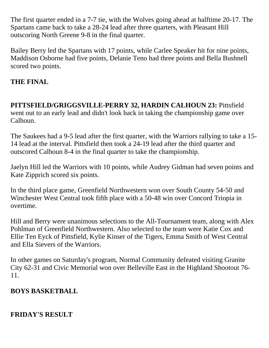The first quarter ended in a 7-7 tie, with the Wolves going ahead at halftime 20-17. The Spartans came back to take a 28-24 lead after three quarters, with Pleasant Hill outscoring North Greene 9-8 in the final quarter.

Bailey Berry led the Spartans with 17 points, while Carlee Speaker hit for nine points, Maddison Osborne had five points, Delanie Teno had three points and Bella Bushnell scored two points.

## **THE FINAL**

**PITTSFIELD/GRIGGSVILLE-PERRY 32, HARDIN CALHOUN 23:** Pittsfield went out to an early lead and didn't look back in taking the championship game over Calhoun.

The Saukees had a 9-5 lead after the first quarter, with the Warriors rallying to take a 15- 14 lead at the interval. Pittsfield then took a 24-19 lead after the third quarter and outscored Calhoun 8-4 in the final quarter to take the championship.

Jaelyn Hill led the Warriors with 10 points, while Audrey Gidman had seven points and Kate Zipprich scored six points.

In the third place game, Greenfield Northwestern won over South County 54-50 and Winchester West Central took fifth place with a 50-48 win over Concord Triopia in overtime.

Hill and Berry were unanimous selections to the All-Tournament team, along with Alex Pohlman of Greenfield Northwestern. Also selected to the team were Katie Cox and Ellie Ten Eyck of Pittsfield, Kylie Kinser of the Tigers, Emma Smith of West Central and Ella Sievers of the Warriors.

In other games on Saturday's program, Normal Community defeated visiting Granite City 62-31 and Civic Memorial won over Belleville East in the Highland Shootout 76- 11.

#### **BOYS BASKETBALL**

## **FRIDAY'S RESULT**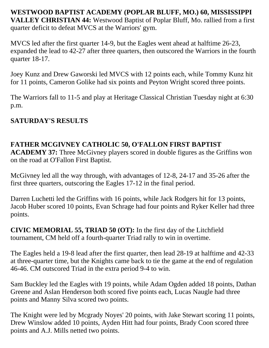**WESTWOOD BAPTIST ACADEMY (POPLAR BLUFF, MO.) 60, MISSISSIPPI VALLEY CHRISTIAN 44:** Westwood Baptist of Poplar Bluff, Mo. rallied from a first quarter deficit to defeat MVCS at the Warriors' gym.

MVCS led after the first quarter 14-9, but the Eagles went ahead at halftime 26-23, expanded the lead to 42-27 after three quarters, then outscored the Warriors in the fourth quarter 18-17.

Joey Kunz and Drew Gaworski led MVCS with 12 points each, while Tommy Kunz hit for 11 points, Cameron Golike had six points and Peyton Wright scored three points.

The Warriors fall to 11-5 and play at Heritage Classical Christian Tuesday night at 6:30 p.m.

#### **SATURDAY'S RESULTS**

## **FATHER MCGIVNEY CATHOLIC 50, O'FALLON FIRST BAPTIST**

**ACADEMY 37:** Three McGivney players scored in double figures as the Griffins won on the road at O'Fallon First Baptist.

McGivney led all the way through, with advantages of 12-8, 24-17 and 35-26 after the first three quarters, outscoring the Eagles 17-12 in the final period.

Darren Luchetti led the Griffins with 16 points, while Jack Rodgers hit for 13 points, Jacob Huber scored 10 points, Evan Schrage had four points and Ryker Keller had three points.

**CIVIC MEMORIAL 55, TRIAD 50 (OT):** In the first day of the Litchfield tournament, CM held off a fourth-quarter Triad rally to win in overtime.

The Eagles held a 19-8 lead after the first quarter, then lead 28-19 at halftime and 42-33 at three-quarter time, but the Knights came back to tie the game at the end of regulation 46-46. CM outscored Triad in the extra period 9-4 to win.

Sam Buckley led the Eagles with 19 points, while Adam Ogden added 18 points, Dathan Greene and Aslan Henderson both scored five points each, Lucas Naugle had three points and Manny Silva scored two points.

The Knight were led by Mcgrady Noyes' 20 points, with Jake Stewart scoring 11 points, Drew Winslow added 10 points, Ayden Hitt had four points, Brady Coon scored three points and A.J. Mills netted two points.